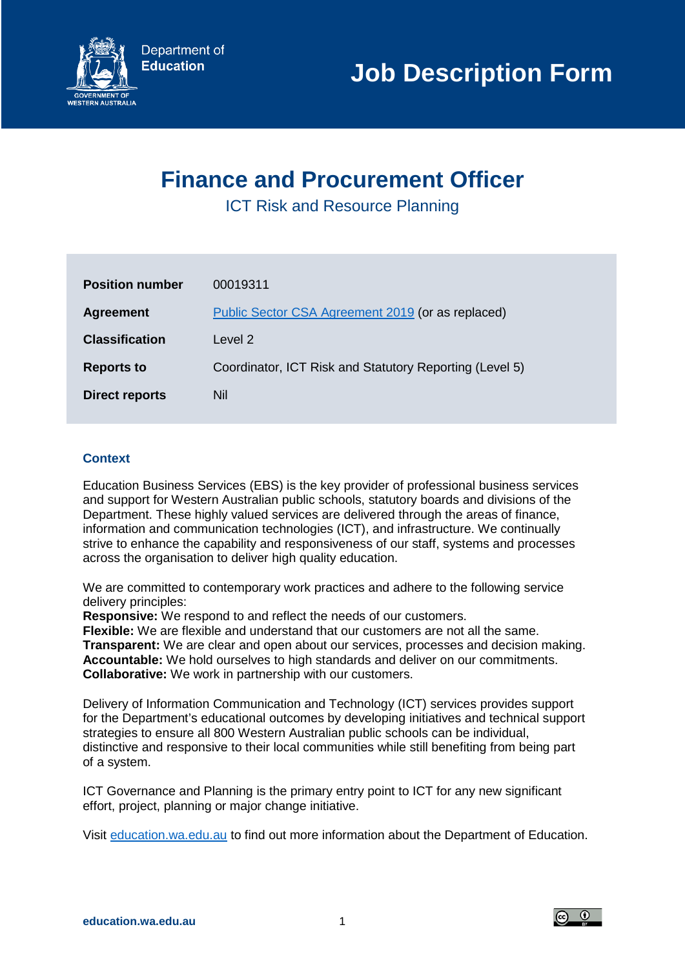

# **Finance and Procurement Officer**

ICT Risk and Resource Planning

| <b>Position number</b> | 00019311                                                |
|------------------------|---------------------------------------------------------|
| <b>Agreement</b>       | Public Sector CSA Agreement 2019 (or as replaced)       |
| <b>Classification</b>  | Level 2                                                 |
| <b>Reports to</b>      | Coordinator, ICT Risk and Statutory Reporting (Level 5) |
| <b>Direct reports</b>  | Nil                                                     |

# **Context**

Education Business Services (EBS) is the key provider of professional business services and support for Western Australian public schools, statutory boards and divisions of the Department. These highly valued services are delivered through the areas of finance, information and communication technologies (ICT), and infrastructure. We continually strive to enhance the capability and responsiveness of our staff, systems and processes across the organisation to deliver high quality education.

We are committed to contemporary work practices and adhere to the following service delivery principles:

**Responsive:** We respond to and reflect the needs of our customers.

**Flexible:** We are flexible and understand that our customers are not all the same. **Transparent:** We are clear and open about our services, processes and decision making. **Accountable:** We hold ourselves to high standards and deliver on our commitments. **Collaborative:** We work in partnership with our customers.

Delivery of Information Communication and Technology (ICT) services provides support for the Department's educational outcomes by developing initiatives and technical support strategies to ensure all 800 Western Australian public schools can be individual, distinctive and responsive to their local communities while still benefiting from being part of a system.

ICT Governance and Planning is the primary entry point to ICT for any new significant effort, project, planning or major change initiative.

Visit [education.wa.edu.au](https://www.education.wa.edu.au/home) to find out more information about the Department of Education.

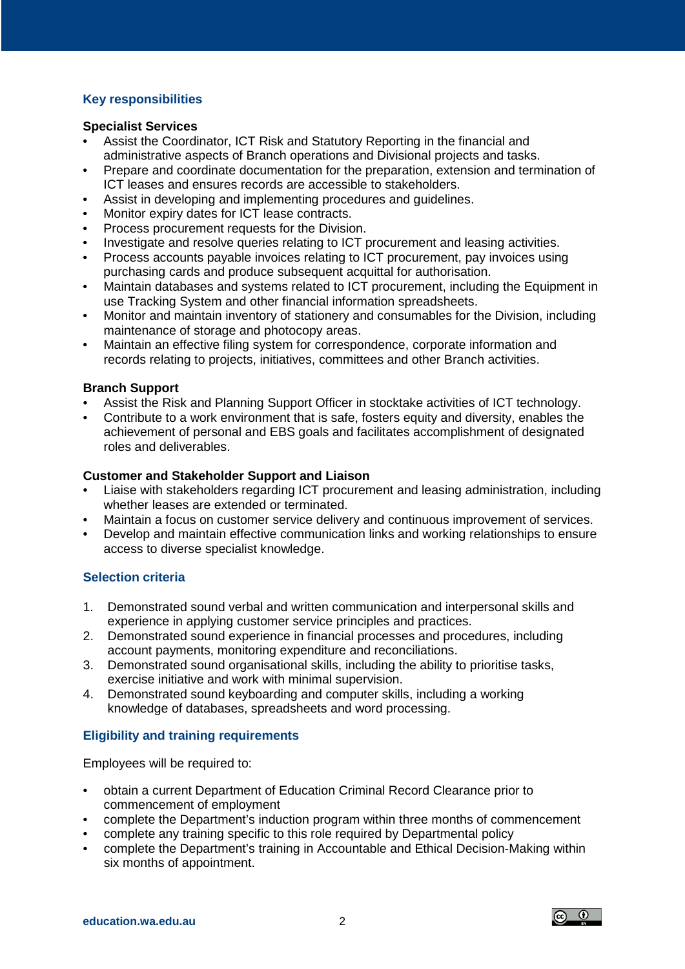## **Key responsibilities**

#### **Specialist Services**

- Assist the Coordinator, ICT Risk and Statutory Reporting in the financial and administrative aspects of Branch operations and Divisional projects and tasks.
- Prepare and coordinate documentation for the preparation, extension and termination of ICT leases and ensures records are accessible to stakeholders.
- Assist in developing and implementing procedures and guidelines.
- Monitor expiry dates for ICT lease contracts.
- Process procurement requests for the Division.
- Investigate and resolve queries relating to ICT procurement and leasing activities.
- Process accounts payable invoices relating to ICT procurement, pay invoices using purchasing cards and produce subsequent acquittal for authorisation.
- Maintain databases and systems related to ICT procurement, including the Equipment in use Tracking System and other financial information spreadsheets.
- Monitor and maintain inventory of stationery and consumables for the Division, including maintenance of storage and photocopy areas.
- Maintain an effective filing system for correspondence, corporate information and records relating to projects, initiatives, committees and other Branch activities.

#### **Branch Support**

- Assist the Risk and Planning Support Officer in stocktake activities of ICT technology.
- Contribute to a work environment that is safe, fosters equity and diversity, enables the achievement of personal and EBS goals and facilitates accomplishment of designated roles and deliverables.

## **Customer and Stakeholder Support and Liaison**

- Liaise with stakeholders regarding ICT procurement and leasing administration, including whether leases are extended or terminated.
- Maintain a focus on customer service delivery and continuous improvement of services.
- Develop and maintain effective communication links and working relationships to ensure access to diverse specialist knowledge.

## **Selection criteria**

- 1. Demonstrated sound verbal and written communication and interpersonal skills and experience in applying customer service principles and practices.
- 2. Demonstrated sound experience in financial processes and procedures, including account payments, monitoring expenditure and reconciliations.
- 3. Demonstrated sound organisational skills, including the ability to prioritise tasks, exercise initiative and work with minimal supervision.
- 4. Demonstrated sound keyboarding and computer skills, including a working knowledge of databases, spreadsheets and word processing.

## **Eligibility and training requirements**

Employees will be required to:

- obtain a current Department of Education Criminal Record Clearance prior to commencement of employment
- complete the Department's induction program within three months of commencement
- complete any training specific to this role required by Departmental policy
- complete the Department's training in Accountable and Ethical Decision-Making within six months of appointment.